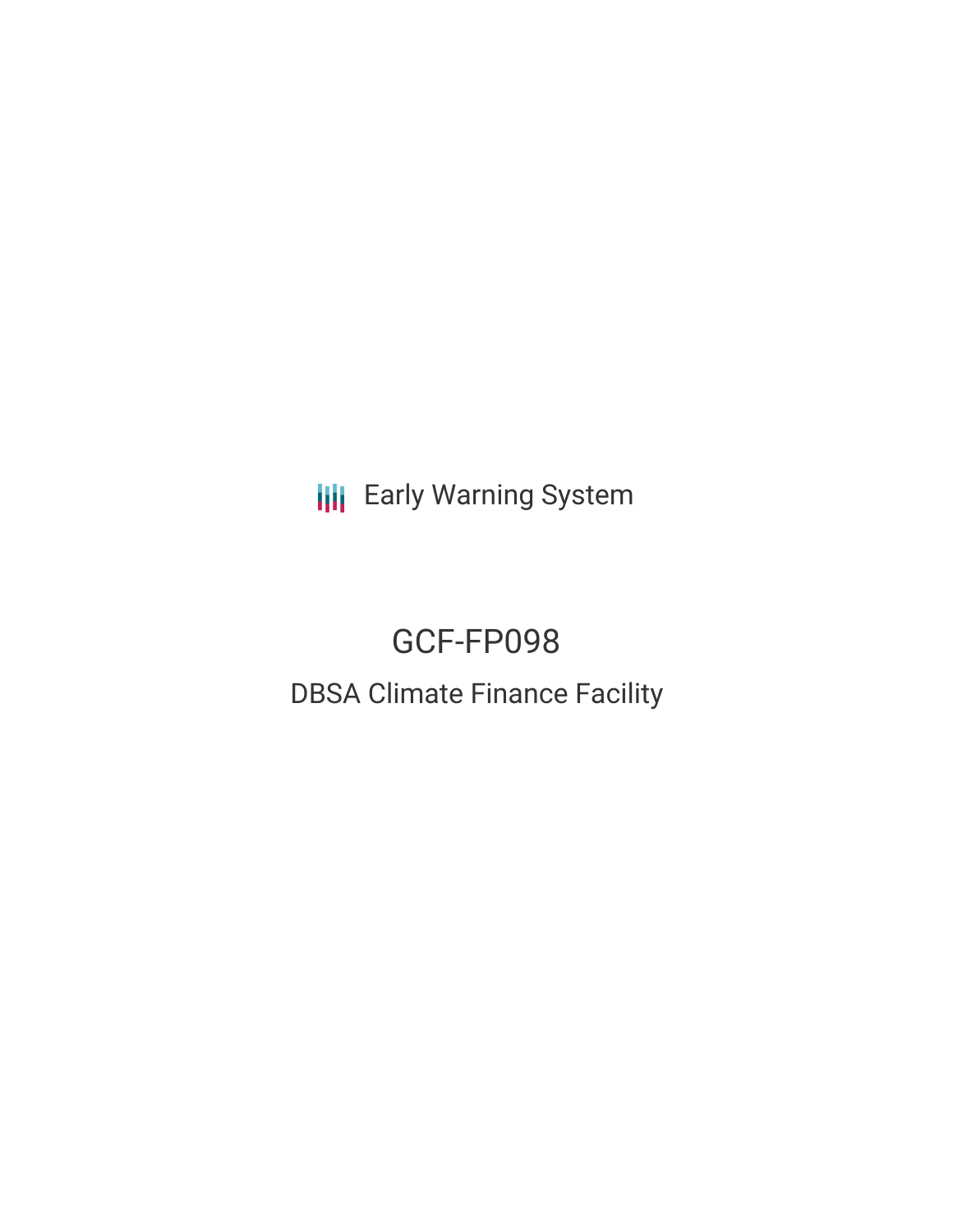**III** Early Warning System

# GCF-FP098 DBSA Climate Finance Facility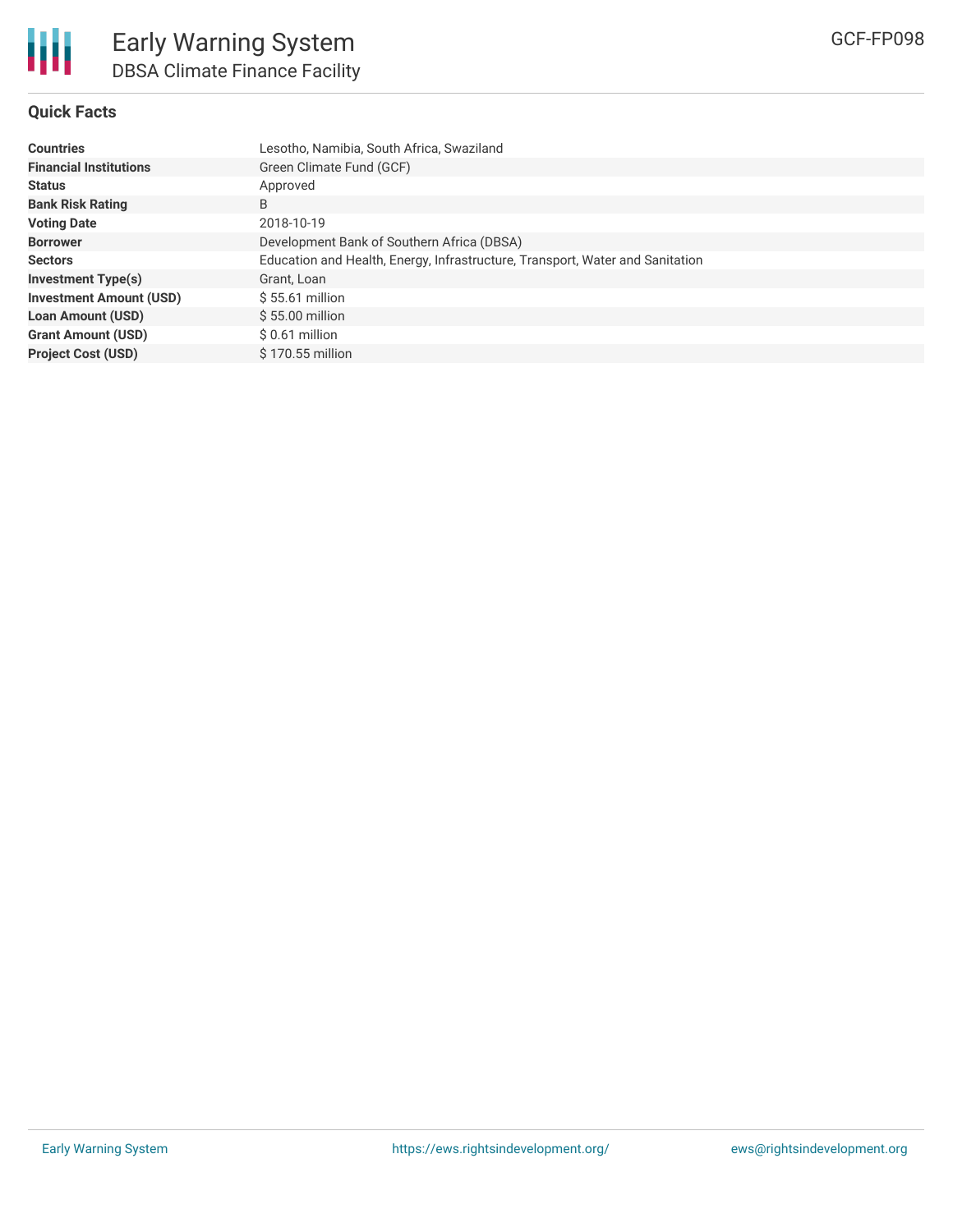# **Quick Facts**

| <b>Countries</b>               | Lesotho, Namibia, South Africa, Swaziland                                     |
|--------------------------------|-------------------------------------------------------------------------------|
| <b>Financial Institutions</b>  | Green Climate Fund (GCF)                                                      |
| <b>Status</b>                  | Approved                                                                      |
| <b>Bank Risk Rating</b>        | B                                                                             |
| <b>Voting Date</b>             | 2018-10-19                                                                    |
| <b>Borrower</b>                | Development Bank of Southern Africa (DBSA)                                    |
| <b>Sectors</b>                 | Education and Health, Energy, Infrastructure, Transport, Water and Sanitation |
| <b>Investment Type(s)</b>      | Grant, Loan                                                                   |
| <b>Investment Amount (USD)</b> | $$55.61$ million                                                              |
| <b>Loan Amount (USD)</b>       | $$55.00$ million                                                              |
| <b>Grant Amount (USD)</b>      | $$0.61$ million                                                               |
| <b>Project Cost (USD)</b>      | $$170.55$ million                                                             |
|                                |                                                                               |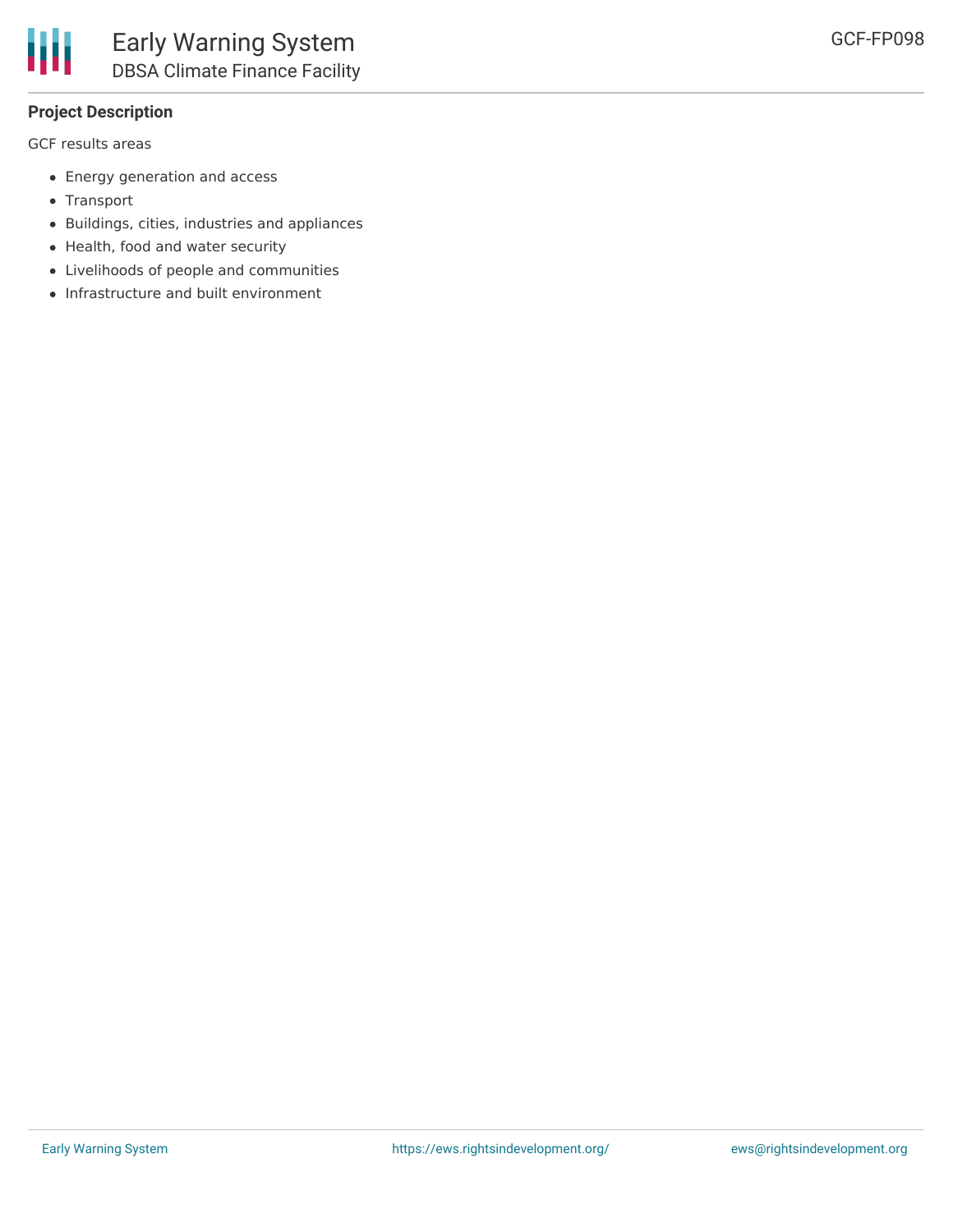# **Project Description**

GCF results areas

- Energy generation and access
- Transport
- Buildings, cities, industries and appliances
- Health, food and water security
- Livelihoods of people and communities
- Infrastructure and built environment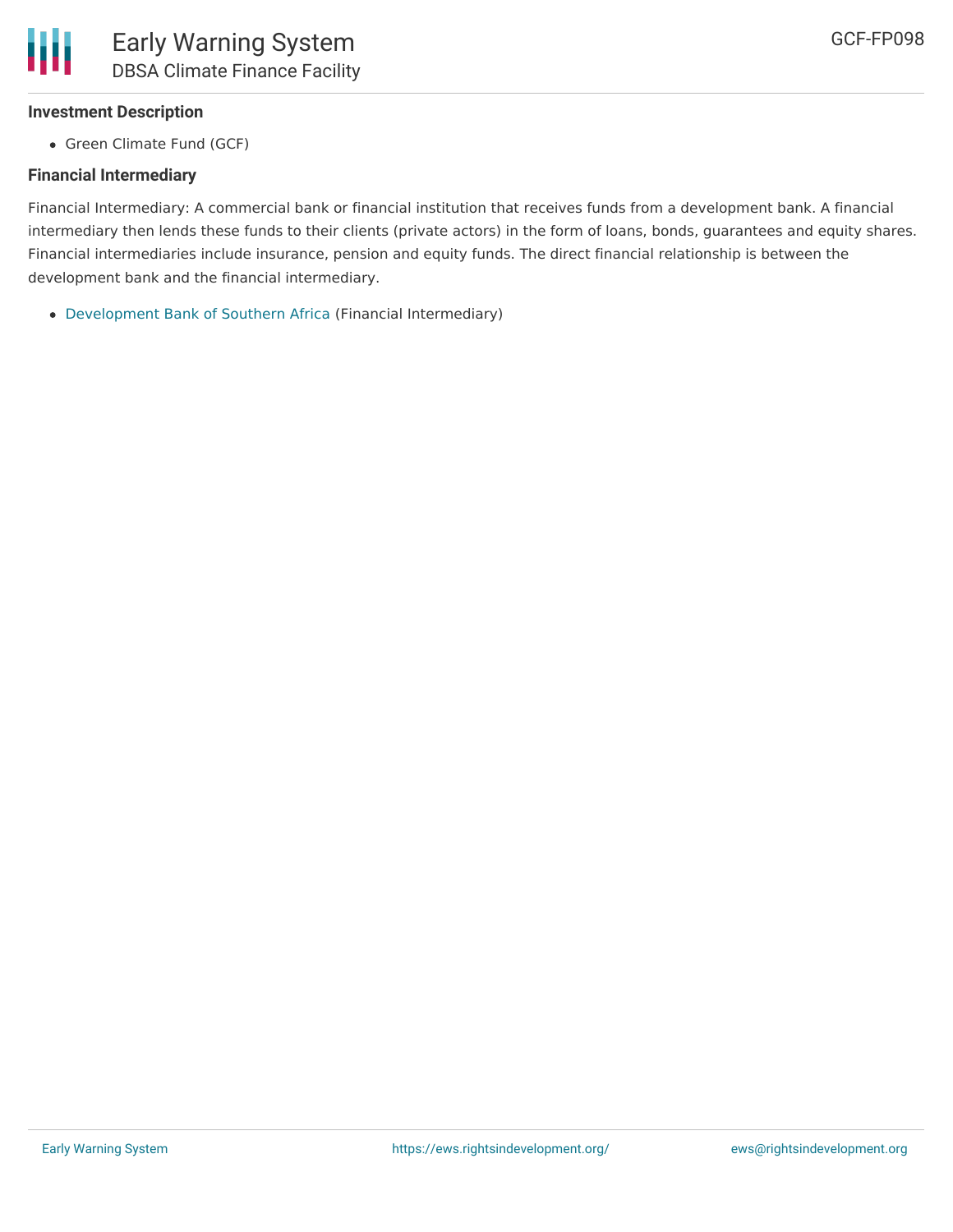# **Investment Description**

• Green Climate Fund (GCF)

# **Financial Intermediary**

Financial Intermediary: A commercial bank or financial institution that receives funds from a development bank. A financial intermediary then lends these funds to their clients (private actors) in the form of loans, bonds, guarantees and equity shares. Financial intermediaries include insurance, pension and equity funds. The direct financial relationship is between the development bank and the financial intermediary.

[Development](file:///actor/1442/) Bank of Southern Africa (Financial Intermediary)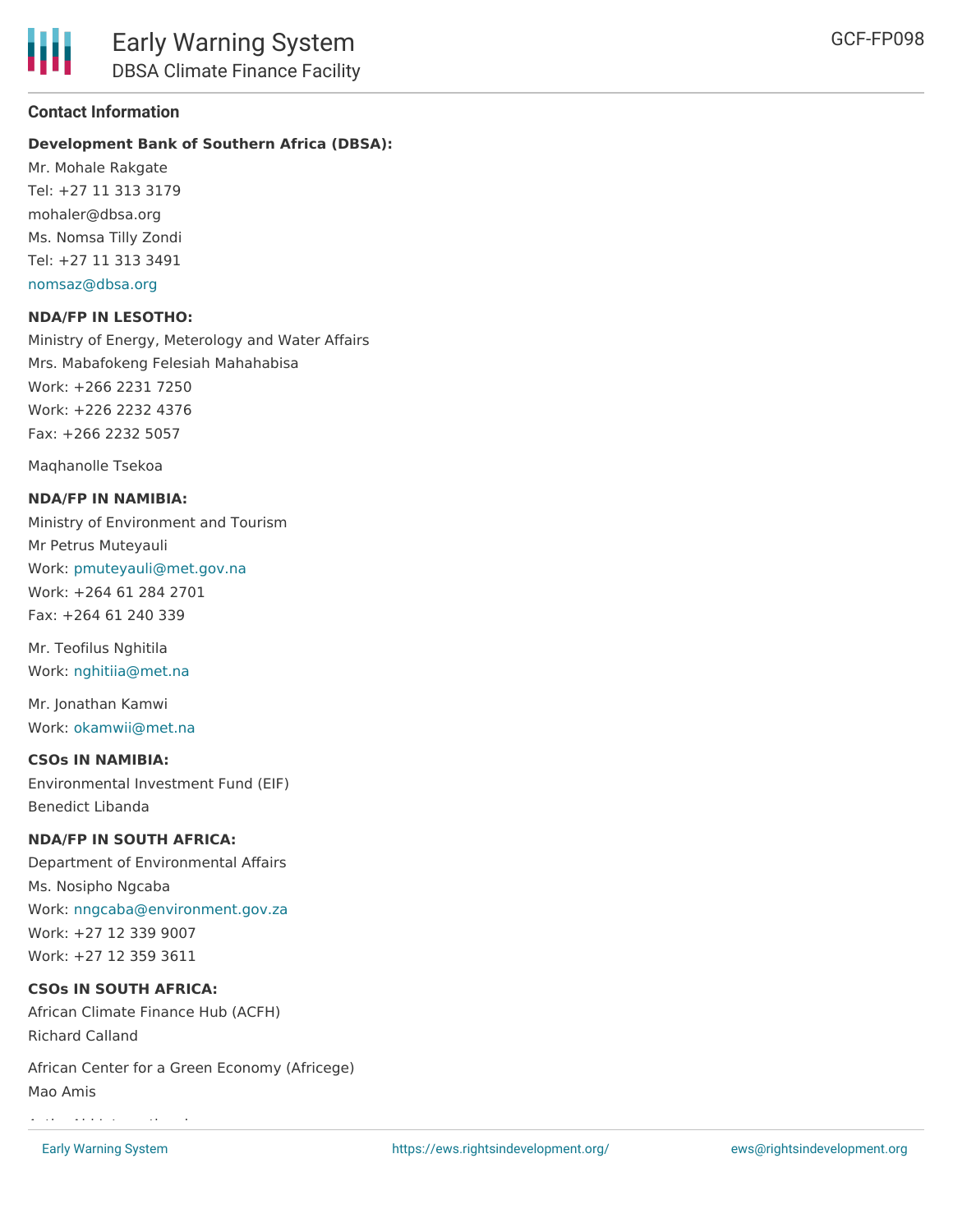# **Contact Information**

# **Development Bank of Southern Africa (DBSA):**

Mr. Mohale Rakgate Tel: +27 11 313 3179 mohaler@dbsa.org Ms. Nomsa Tilly Zondi Tel: +27 11 313 3491 [nomsaz@dbsa.org](mailto:nomsaz@dbsa.org)

#### **NDA/FP IN LESOTHO:**

Ministry of Energy, Meterology and Water Affairs Mrs. Mabafokeng Felesiah Mahahabisa Work: +266 2231 7250 Work: +226 2232 4376 Fax: +266 2232 5057

Maqhanolle Tsekoa

#### **NDA/FP IN NAMIBIA:**

Ministry of Environment and Tourism Mr Petrus Muteyauli Work: [pmuteyauli@met.gov.na](mailto:pmuteyauli@met.gov.na) Work: +264 61 284 2701 Fax: +264 61 240 339

Mr. Teofilus Nghitila Work: [nghitiia@met.na](mailto:nghitiia@met.na)

Mr. Jonathan Kamwi Work: [okamwii@met.na](mailto:okamwii@met.na)

#### **CSOs IN NAMIBIA:**

Environmental Investment Fund (EIF) Benedict Libanda

### **NDA/FP IN SOUTH AFRICA:**

Department of Environmental Affairs Ms. Nosipho Ngcaba Work: [nngcaba@environment.gov.za](mailto:nngcaba@environment.gov.za) Work: +27 12 339 9007 Work: +27 12 359 3611

#### **CSOs IN SOUTH AFRICA:**

African Climate Finance Hub (ACFH) Richard Calland

African Center for a Green Economy (Africege) Mao Amis

ActionAid International